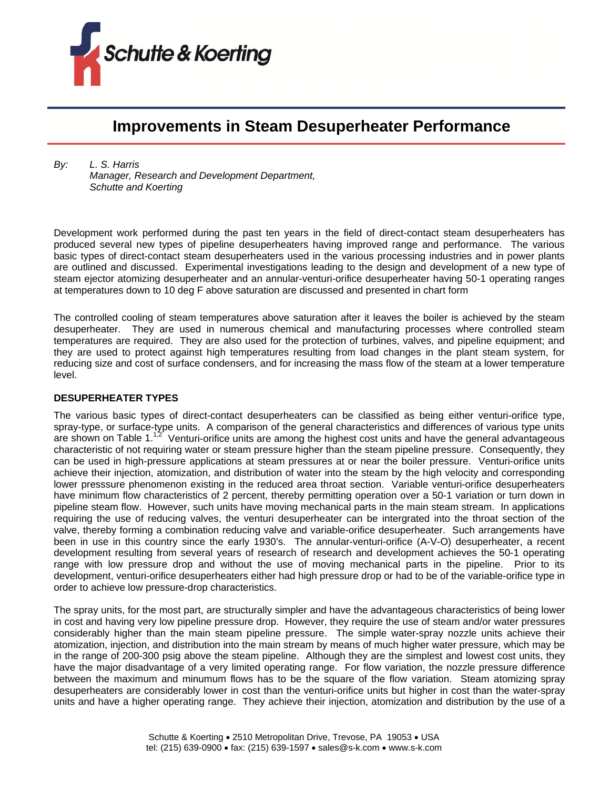

# **Improvements in Steam Desuperheater Performance**

*By: L. S. Harris Manager, Research and Development Department, Schutte and Koerting*

Development work performed during the past ten years in the field of direct-contact steam desuperheaters has produced several new types of pipeline desuperheaters having improved range and performance. The various basic types of direct-contact steam desuperheaters used in the various processing industries and in power plants are outlined and discussed. Experimental investigations leading to the design and development of a new type of steam ejector atomizing desuperheater and an annular-venturi-orifice desuperheater having 50-1 operating ranges at temperatures down to 10 deg F above saturation are discussed and presented in chart form

The controlled cooling of steam temperatures above saturation after it leaves the boiler is achieved by the steam desuperheater. They are used in numerous chemical and manufacturing processes where controlled steam temperatures are required. They are also used for the protection of turbines, valves, and pipeline equipment; and they are used to protect against high temperatures resulting from load changes in the plant steam system, for reducing size and cost of surface condensers, and for increasing the mass flow of the steam at a lower temperature level.

#### **DESUPERHEATER TYPES**

The various basic types of direct-contact desuperheaters can be classified as being either venturi-orifice type, spray-type, or surface-type units. A comparison of the general characteristics and differences of various type units are shown on Table  $1^{1,2}$  Venturi-orifice units are among the highest cost units and have the general advantageous characteristic of not requiring water or steam pressure higher than the steam pipeline pressure. Consequently, they can be used in high-pressure applications at steam pressures at or near the boiler pressure. Venturi-orifice units achieve their injection, atomization, and distribution of water into the steam by the high velocity and corresponding lower presssure phenomenon existing in the reduced area throat section. Variable venturi-orifice desuperheaters have minimum flow characteristics of 2 percent, thereby permitting operation over a 50-1 variation or turn down in pipeline steam flow. However, such units have moving mechanical parts in the main steam stream. In applications requiring the use of reducing valves, the venturi desuperheater can be intergrated into the throat section of the valve, thereby forming a combination reducing valve and variable-orifice desuperheater. Such arrangements have been in use in this country since the early 1930's. The annular-venturi-orifice (A-V-O) desuperheater, a recent development resulting from several years of research of research and development achieves the 50-1 operating range with low pressure drop and without the use of moving mechanical parts in the pipeline. Prior to its development, venturi-orifice desuperheaters either had high pressure drop or had to be of the variable-orifice type in order to achieve low pressure-drop characteristics.

The spray units, for the most part, are structurally simpler and have the advantageous characteristics of being lower in cost and having very low pipeline pressure drop. However, they require the use of steam and/or water pressures considerably higher than the main steam pipeline pressure. The simple water-spray nozzle units achieve their atomization, injection, and distribution into the main stream by means of much higher water pressure, which may be in the range of 200-300 psig above the steam pipeline. Although they are the simplest and lowest cost units, they have the major disadvantage of a very limited operating range. For flow variation, the nozzle pressure difference between the maximum and minumum flows has to be the square of the flow variation. Steam atomizing spray desuperheaters are considerably lower in cost than the venturi-orifice units but higher in cost than the water-spray units and have a higher operating range. They achieve their injection, atomization and distribution by the use of a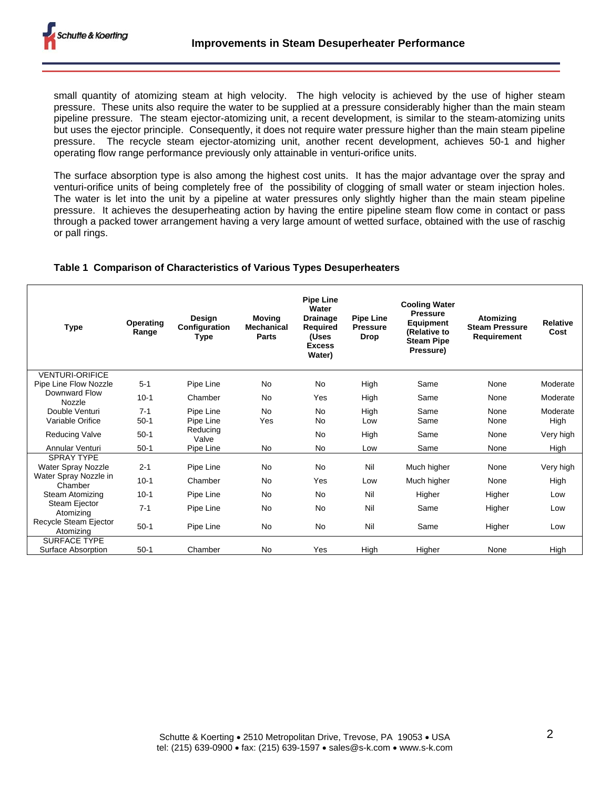small quantity of atomizing steam at high velocity. The high velocity is achieved by the use of higher steam pressure. These units also require the water to be supplied at a pressure considerably higher than the main steam pipeline pressure. The steam ejector-atomizing unit, a recent development, is similar to the steam-atomizing units but uses the ejector principle. Consequently, it does not require water pressure higher than the main steam pipeline pressure. The recycle steam ejector-atomizing unit, another recent development, achieves 50-1 and higher operating flow range performance previously only attainable in venturi-orifice units.

The surface absorption type is also among the highest cost units. It has the major advantage over the spray and venturi-orifice units of being completely free of the possibility of clogging of small water or steam injection holes. The water is let into the unit by a pipeline at water pressures only slightly higher than the main steam pipeline pressure. It achieves the desuperheating action by having the entire pipeline steam flow come in contact or pass through a packed tower arrangement having a very large amount of wetted surface, obtained with the use of raschig or pall rings.

## **Table 1 Comparison of Characteristics of Various Types Desuperheaters**

| <b>Type</b>                        | Operating<br>Range | Design<br>Configuration<br>Type | <b>Moving</b><br>Mechanical<br><b>Parts</b> | <b>Pipe Line</b><br>Water<br><b>Drainage</b><br><b>Required</b><br>(Uses<br><b>Excess</b><br>Water) | <b>Pipe Line</b><br><b>Pressure</b><br><b>Drop</b> | <b>Cooling Water</b><br><b>Pressure</b><br><b>Equipment</b><br>(Relative to<br><b>Steam Pipe</b><br>Pressure) | Atomizing<br><b>Steam Pressure</b><br>Requirement | <b>Relative</b><br>Cost |
|------------------------------------|--------------------|---------------------------------|---------------------------------------------|-----------------------------------------------------------------------------------------------------|----------------------------------------------------|---------------------------------------------------------------------------------------------------------------|---------------------------------------------------|-------------------------|
| <b>VENTURI-ORIFICE</b>             |                    |                                 |                                             |                                                                                                     |                                                    |                                                                                                               |                                                   |                         |
| Pipe Line Flow Nozzle              | $5 - 1$            | Pipe Line                       | <b>No</b>                                   | <b>No</b>                                                                                           | High                                               | Same                                                                                                          | None                                              | Moderate                |
| Downward Flow<br>Nozzle            | $10-1$             | Chamber                         | <b>No</b>                                   | Yes                                                                                                 | High                                               | Same                                                                                                          | None                                              | Moderate                |
| Double Venturi                     | $7 - 1$            | Pipe Line                       | <b>No</b>                                   | <b>No</b>                                                                                           | High                                               | Same                                                                                                          | None                                              | Moderate                |
| Variable Orifice                   | $50-1$             | Pipe Line                       | Yes                                         | <b>No</b>                                                                                           | Low                                                | Same                                                                                                          | None                                              | High                    |
| <b>Reducing Valve</b>              | $50-1$             | Reducing<br>Valve               |                                             | <b>No</b>                                                                                           | High                                               | Same                                                                                                          | None                                              | Very high               |
| Annular Venturi                    | $50-1$             | Pipe Line                       | <b>No</b>                                   | <b>No</b>                                                                                           | Low                                                | Same                                                                                                          | None                                              | High                    |
| <b>SPRAY TYPE</b>                  |                    |                                 |                                             |                                                                                                     |                                                    |                                                                                                               |                                                   |                         |
| <b>Water Spray Nozzle</b>          | $2 - 1$            | Pipe Line                       | <b>No</b>                                   | <b>No</b>                                                                                           | Nil                                                | Much higher                                                                                                   | None                                              | Very high               |
| Water Spray Nozzle in<br>Chamber   | $10-1$             | Chamber                         | <b>No</b>                                   | Yes                                                                                                 | Low                                                | Much higher                                                                                                   | None                                              | High                    |
| Steam Atomizing                    | $10-1$             | Pipe Line                       | <b>No</b>                                   | <b>No</b>                                                                                           | Nil                                                | Higher                                                                                                        | Higher                                            | Low                     |
| Steam Ejector<br>Atomizing         | $7 - 1$            | Pipe Line                       | <b>No</b>                                   | <b>No</b>                                                                                           | Nil                                                | Same                                                                                                          | Higher                                            | Low                     |
| Recycle Steam Ejector<br>Atomizing | $50-1$             | Pipe Line                       | <b>No</b>                                   | No                                                                                                  | Nil                                                | Same                                                                                                          | Higher                                            | Low                     |
| <b>SURFACE TYPE</b>                |                    |                                 |                                             |                                                                                                     |                                                    |                                                                                                               |                                                   |                         |
| Surface Absorption                 | $50-1$             | Chamber                         | <b>No</b>                                   | Yes                                                                                                 | High                                               | Higher                                                                                                        | None                                              | High                    |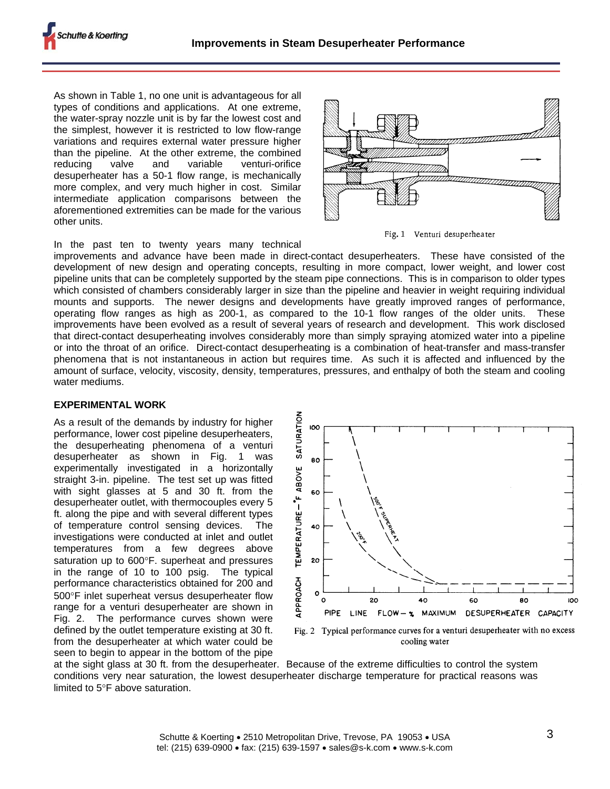As shown in Table 1, no one unit is advantageous for all types of conditions and applications. At one extreme, the water-spray nozzle unit is by far the lowest cost and the simplest, however it is restricted to low flow-range variations and requires external water pressure higher than the pipeline. At the other extreme, the combined reducing valve and variable venturi-orifice desuperheater has a 50-1 flow range, is mechanically more complex, and very much higher in cost. Similar intermediate application comparisons between the aforementioned extremities can be made for the various other units.

In the past ten to twenty years many technical





improvements and advance have been made in direct-contact desuperheaters. These have consisted of the development of new design and operating concepts, resulting in more compact, lower weight, and lower cost pipeline units that can be completely supported by the steam pipe connections. This is in comparison to older types which consisted of chambers considerably larger in size than the pipeline and heavier in weight requiring individual mounts and supports. The newer designs and developments have greatly improved ranges of performance, operating flow ranges as high as 200-1, as compared to the 10-1 flow ranges of the older units. These improvements have been evolved as a result of several years of research and development. This work disclosed that direct-contact desuperheating involves considerably more than simply spraying atomized water into a pipeline or into the throat of an orifice. Direct-contact desuperheating is a combination of heat-transfer and mass-transfer phenomena that is not instantaneous in action but requires time. As such it is affected and influenced by the amount of surface, velocity, viscosity, density, temperatures, pressures, and enthalpy of both the steam and cooling water mediums.

#### **EXPERIMENTAL WORK**

As a result of the demands by industry for higher performance, lower cost pipeline desuperheaters, the desuperheating phenomena of a venturi desuperheater as shown in Fig. 1 was experimentally investigated in a horizontally straight 3-in. pipeline. The test set up was fitted with sight glasses at 5 and 30 ft. from the desuperheater outlet, with thermocouples every 5 ft. along the pipe and with several different types of temperature control sensing devices. The investigations were conducted at inlet and outlet temperatures from a few degrees above saturation up to 600°F. superheat and pressures in the range of 10 to 100 psig. The typical performance characteristics obtained for 200 and 500°F inlet superheat versus desuperheater flow range for a venturi desuperheater are shown in Fig. 2. The performance curves shown were defined by the outlet temperature existing at 30 ft. from the desuperheater at which water could be seen to begin to appear in the bottom of the pipe



Fig. 2 Typical performance curves for a venturi desuperheater with no excess cooling water

at the sight glass at 30 ft. from the desuperheater. Because of the extreme difficulties to control the system conditions very near saturation, the lowest desuperheater discharge temperature for practical reasons was limited to  $5^{\circ}$ F above saturation.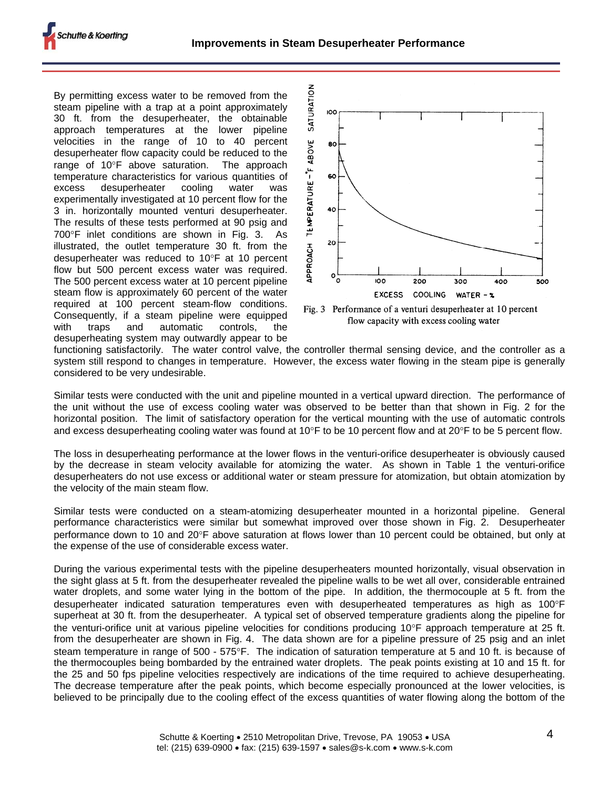By permitting excess water to be removed from the steam pipeline with a trap at a point approximately 30 ft. from the desuperheater, the obtainable approach temperatures at the lower pipeline velocities in the range of 10 to 40 percent desuperheater flow capacity could be reduced to the range of  $10^{\circ}$ F above saturation. The approach temperature characteristics for various quantities of excess desuperheater cooling water was experimentally investigated at 10 percent flow for the 3 in. horizontally mounted venturi desuperheater. The results of these tests performed at 90 psig and 700°F inlet conditions are shown in Fig. 3. As illustrated, the outlet temperature 30 ft. from the desuperheater was reduced to  $10^{\circ}$ F at 10 percent flow but 500 percent excess water was required. The 500 percent excess water at 10 percent pipeline steam flow is approximately 60 percent of the water required at 100 percent steam-flow conditions. Consequently, if a steam pipeline were equipped with traps and automatic controls, the desuperheating system may outwardly appear to be





functioning satisfactorily. The water control valve, the controller thermal sensing device, and the controller as a system still respond to changes in temperature. However, the excess water flowing in the steam pipe is generally considered to be very undesirable.

Similar tests were conducted with the unit and pipeline mounted in a vertical upward direction. The performance of the unit without the use of excess cooling water was observed to be better than that shown in Fig. 2 for the horizontal position. The limit of satisfactory operation for the vertical mounting with the use of automatic controls and excess desuperheating cooling water was found at 10°F to be 10 percent flow and at 20°F to be 5 percent flow.

The loss in desuperheating performance at the lower flows in the venturi-orifice desuperheater is obviously caused by the decrease in steam velocity available for atomizing the water. As shown in Table 1 the venturi-orifice desuperheaters do not use excess or additional water or steam pressure for atomization, but obtain atomization by the velocity of the main steam flow.

Similar tests were conducted on a steam-atomizing desuperheater mounted in a horizontal pipeline. General performance characteristics were similar but somewhat improved over those shown in Fig. 2. Desuperheater performance down to 10 and 20°F above saturation at flows lower than 10 percent could be obtained, but only at the expense of the use of considerable excess water.

During the various experimental tests with the pipeline desuperheaters mounted horizontally, visual observation in the sight glass at 5 ft. from the desuperheater revealed the pipeline walls to be wet all over, considerable entrained water droplets, and some water lying in the bottom of the pipe. In addition, the thermocouple at 5 ft. from the desuperheater indicated saturation temperatures even with desuperheated temperatures as high as 100°F superheat at 30 ft. from the desuperheater. A typical set of observed temperature gradients along the pipeline for the venturi-orifice unit at various pipeline velocities for conditions producing  $10^{\circ}$ F approach temperature at 25 ft. from the desuperheater are shown in Fig. 4. The data shown are for a pipeline pressure of 25 psig and an inlet steam temperature in range of 500 - 575°F. The indication of saturation temperature at 5 and 10 ft. is because of the thermocouples being bombarded by the entrained water droplets. The peak points existing at 10 and 15 ft. for the 25 and 50 fps pipeline velocities respectively are indications of the time required to achieve desuperheating. The decrease temperature after the peak points, which become especially pronounced at the lower velocities, is believed to be principally due to the cooling effect of the excess quantities of water flowing along the bottom of the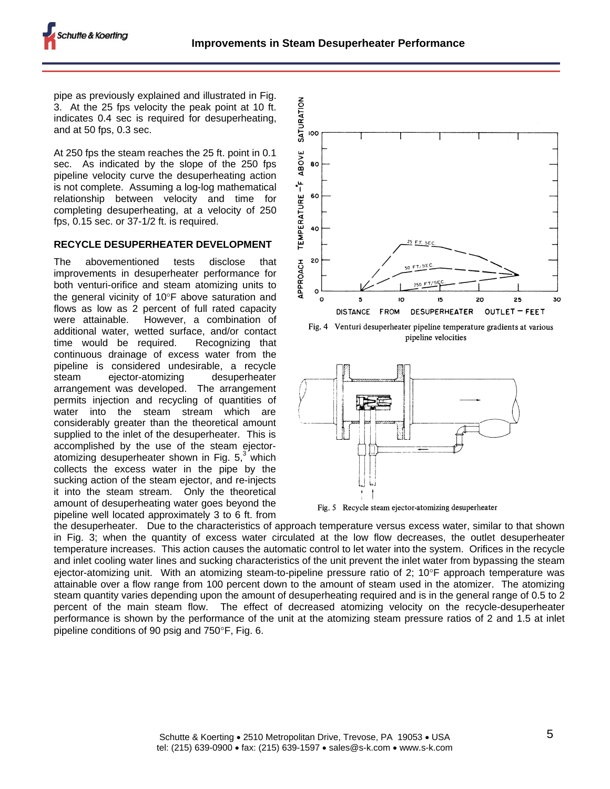pipe as previously explained and illustrated in Fig. 3. At the 25 fps velocity the peak point at 10 ft. indicates 0.4 sec is required for desuperheating, and at 50 fps, 0.3 sec.

At 250 fps the steam reaches the 25 ft. point in 0.1 sec. As indicated by the slope of the 250 fps pipeline velocity curve the desuperheating action is not complete. Assuming a log-log mathematical relationship between velocity and time for completing desuperheating, at a velocity of 250 fps, 0.15 sec. or 37-1/2 ft. is required.

## **RECYCLE DESUPERHEATER DEVELOPMENT**

The abovementioned tests disclose that improvements in desuperheater performance for both venturi-orifice and steam atomizing units to the general vicinity of  $10^{\circ}$ F above saturation and flows as low as 2 percent of full rated capacity were attainable. However, a combination of additional water, wetted surface, and/or contact time would be required. Recognizing that continuous drainage of excess water from the pipeline is considered undesirable, a recycle steam ejector-atomizing desuperheater arrangement was developed. The arrangement permits injection and recycling of quantities of water into the steam stream which are considerably greater than the theoretical amount supplied to the inlet of the desuperheater. This is accomplished by the use of the steam ejectoratomizing desuperheater shown in Fig.  $5<sup>3</sup>$  which collects the excess water in the pipe by the sucking action of the steam ejector, and re-injects it into the steam stream. Only the theoretical amount of desuperheating water goes beyond the pipeline well located approximately 3 to 6 ft. from



Fig. 4 Venturi desuperheater pipeline temperature gradients at various pipeline velocities



Fig. 5 Recycle steam ejector-atomizing desuperheater

the desuperheater. Due to the characteristics of approach temperature versus excess water, similar to that shown in Fig. 3; when the quantity of excess water circulated at the low flow decreases, the outlet desuperheater temperature increases. This action causes the automatic control to let water into the system. Orifices in the recycle and inlet cooling water lines and sucking characteristics of the unit prevent the inlet water from bypassing the steam ejector-atomizing unit. With an atomizing steam-to-pipeline pressure ratio of 2;  $10^{\circ}$ F approach temperature was attainable over a flow range from 100 percent down to the amount of steam used in the atomizer. The atomizing steam quantity varies depending upon the amount of desuperheating required and is in the general range of 0.5 to 2 percent of the main steam flow. The effect of decreased atomizing velocity on the recycle-desuperheater performance is shown by the performance of the unit at the atomizing steam pressure ratios of 2 and 1.5 at inlet pipeline conditions of 90 psig and  $750^{\circ}$ F, Fig. 6.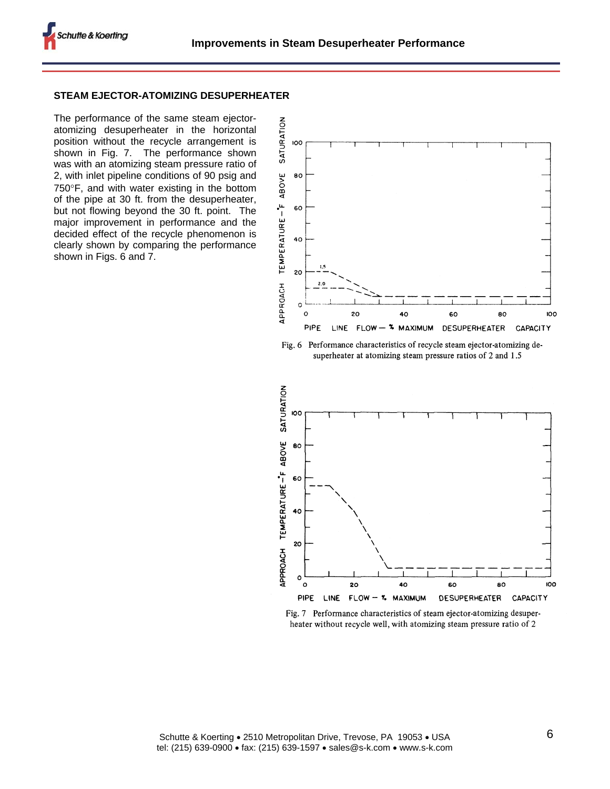#### **STEAM EJECTOR-ATOMIZING DESUPERHEATER**

The performance of the same steam ejectoratomizing desuperheater in the horizontal position without the recycle arrangement is shown in Fig. 7. The performance shown was with an atomizing steam pressure ratio of 2, with inlet pipeline conditions of 90 psig and  $750^\circ$ F, and with water existing in the bottom of the pipe at 30 ft. from the desuperheater, but not flowing beyond the 30 ft. point. The major improvement in performance and the decided effect of the recycle phenomenon is clearly shown by comparing the performance shown in Figs. 6 and 7.







Fig. 7 Performance characteristics of steam ejector-atomizing desuperheater without recycle well, with atomizing steam pressure ratio of 2